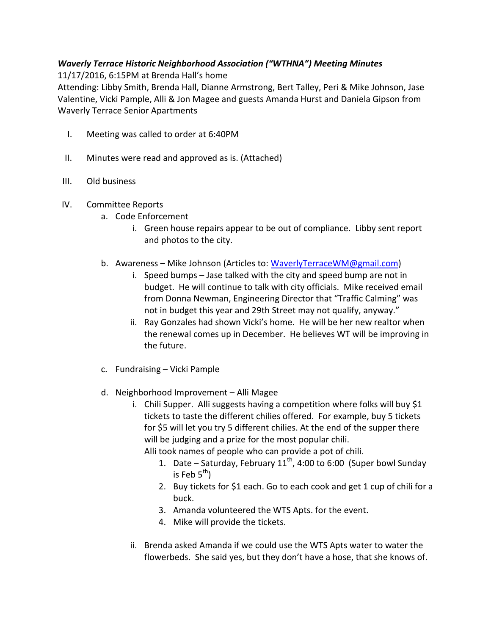## Waverly Terrace Historic Neighborhood Association ("WTHNA") Meeting Minutes

11/17/2016, 6:15PM at Brenda Hall's home

Attending: Libby Smith, Brenda Hall, Dianne Armstrong, Bert Talley, Peri & Mike Johnson, Jase Valentine, Vicki Pample, Alli & Jon Magee and guests Amanda Hurst and Daniela Gipson from Waverly Terrace Senior Apartments

- I. Meeting was called to order at 6:40PM
- II. Minutes were read and approved as is. (Attached)
- III. Old business
- IV. Committee Reports
	- a. Code Enforcement
		- i. Green house repairs appear to be out of compliance. Libby sent report and photos to the city.
	- b. Awareness Mike Johnson (Articles to: WaverlyTerraceWM@gmail.com)
		- i. Speed bumps Jase talked with the city and speed bump are not in budget. He will continue to talk with city officials. Mike received email from Donna Newman, Engineering Director that "Traffic Calming" was not in budget this year and 29th Street may not qualify, anyway."
		- ii. Ray Gonzales had shown Vicki's home. He will be her new realtor when the renewal comes up in December. He believes WT will be improving in the future.
	- c. Fundraising Vicki Pample
	- d. Neighborhood Improvement Alli Magee
		- i. Chili Supper. Alli suggests having a competition where folks will buy \$1 tickets to taste the different chilies offered. For example, buy 5 tickets for \$5 will let you try 5 different chilies. At the end of the supper there will be judging and a prize for the most popular chili.

Alli took names of people who can provide a pot of chili.

- 1. Date Saturday, February  $11^{th}$ , 4:00 to 6:00 (Super bowl Sunday is Feb  $5<sup>th</sup>$ )
- 2. Buy tickets for \$1 each. Go to each cook and get 1 cup of chili for a buck.
- 3. Amanda volunteered the WTS Apts. for the event.
- 4. Mike will provide the tickets.
- ii. Brenda asked Amanda if we could use the WTS Apts water to water the flowerbeds. She said yes, but they don't have a hose, that she knows of.